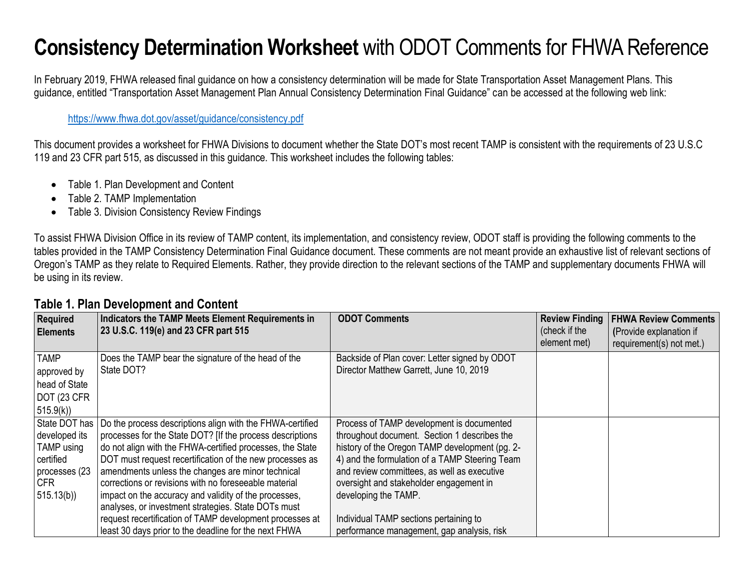# **Consistency Determination Worksheet** with ODOT Comments for FHWA Reference

In February 2019, FHWA released final guidance on how a consistency determination will be made for State Transportation Asset Management Plans. This guidance, entitled "Transportation Asset Management Plan Annual Consistency Determination Final Guidance" can be accessed at the following web link:

#### <https://www.fhwa.dot.gov/asset/guidance/consistency.pdf>

This document provides a worksheet for FHWA Divisions to document whether the State DOT's most recent TAMP is consistent with the requirements of 23 U.S.C 119 and 23 CFR part 515, as discussed in this guidance. This worksheet includes the following tables:

- Table 1. Plan Development and Content
- Table 2. TAMP Implementation
- Table 3. Division Consistency Review Findings

To assist FHWA Division Office in its review of TAMP content, its implementation, and consistency review, ODOT staff is providing the following comments to the tables provided in the TAMP Consistency Determination Final Guidance document. These comments are not meant provide an exhaustive list of relevant sections of Oregon's TAMP as they relate to Required Elements. Rather, they provide direction to the relevant sections of the TAMP and supplementary documents FHWA will be using in its review.

| <b>Required</b><br><b>Elements</b> | Indicators the TAMP Meets Element Requirements in<br>23 U.S.C. 119(e) and 23 CFR part 515 | <b>ODOT Comments</b>                           | <b>Review Finding</b><br>(check if the | <b>FHWA Review Comments</b><br>(Provide explanation if |
|------------------------------------|-------------------------------------------------------------------------------------------|------------------------------------------------|----------------------------------------|--------------------------------------------------------|
|                                    |                                                                                           |                                                | element met)                           | requirement(s) not met.)                               |
| <b>TAMP</b>                        | Does the TAMP bear the signature of the head of the                                       | Backside of Plan cover: Letter signed by ODOT  |                                        |                                                        |
| approved by                        | State DOT?                                                                                | Director Matthew Garrett, June 10, 2019        |                                        |                                                        |
| head of State                      |                                                                                           |                                                |                                        |                                                        |
| DOT (23 CFR                        |                                                                                           |                                                |                                        |                                                        |
| 515.9(k)                           |                                                                                           |                                                |                                        |                                                        |
| State DOT has                      | Do the process descriptions align with the FHWA-certified                                 | Process of TAMP development is documented      |                                        |                                                        |
| developed its                      | processes for the State DOT? [If the process descriptions                                 | throughout document. Section 1 describes the   |                                        |                                                        |
| TAMP using                         | do not align with the FHWA-certified processes, the State                                 | history of the Oregon TAMP development (pg. 2- |                                        |                                                        |
| certified                          | DOT must request recertification of the new processes as                                  | 4) and the formulation of a TAMP Steering Team |                                        |                                                        |
| processes (23                      | amendments unless the changes are minor technical                                         | and review committees, as well as executive    |                                        |                                                        |
| CFR.                               | corrections or revisions with no foreseeable material                                     | oversight and stakeholder engagement in        |                                        |                                                        |
| 515.13(b)                          | impact on the accuracy and validity of the processes,                                     | developing the TAMP.                           |                                        |                                                        |
|                                    | analyses, or investment strategies. State DOTs must                                       |                                                |                                        |                                                        |
|                                    | request recertification of TAMP development processes at                                  | Individual TAMP sections pertaining to         |                                        |                                                        |
|                                    | least 30 days prior to the deadline for the next FHWA                                     | performance management, gap analysis, risk     |                                        |                                                        |

### **Table 1. Plan Development and Content**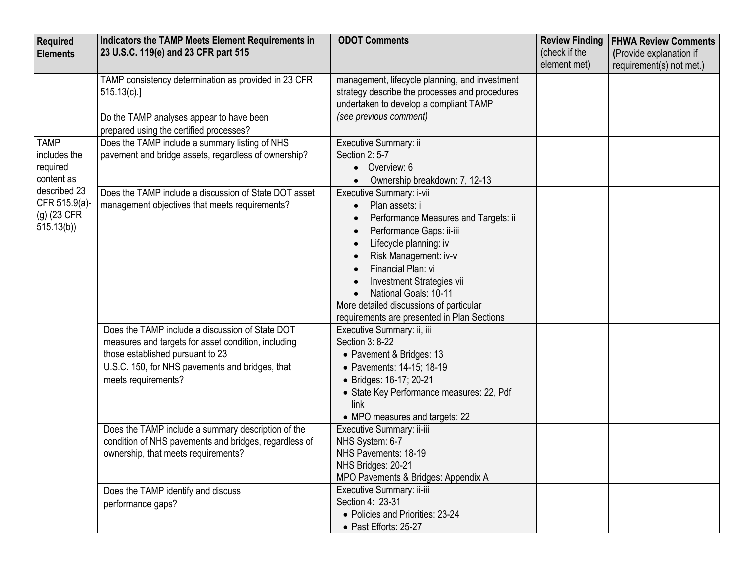| <b>Required</b><br><b>Elements</b>                                                                                   | Indicators the TAMP Meets Element Requirements in<br>23 U.S.C. 119(e) and 23 CFR part 515                                                                                                                            | <b>ODOT Comments</b>                                                                                                                                                                                                                                                                                                                    | <b>Review Finding</b><br>(check if the | <b>FHWA Review Comments</b><br>(Provide explanation if |
|----------------------------------------------------------------------------------------------------------------------|----------------------------------------------------------------------------------------------------------------------------------------------------------------------------------------------------------------------|-----------------------------------------------------------------------------------------------------------------------------------------------------------------------------------------------------------------------------------------------------------------------------------------------------------------------------------------|----------------------------------------|--------------------------------------------------------|
|                                                                                                                      |                                                                                                                                                                                                                      |                                                                                                                                                                                                                                                                                                                                         | element met)                           | requirement(s) not met.)                               |
|                                                                                                                      | TAMP consistency determination as provided in 23 CFR<br>515.13(c).                                                                                                                                                   | management, lifecycle planning, and investment<br>strategy describe the processes and procedures<br>undertaken to develop a compliant TAMP                                                                                                                                                                                              |                                        |                                                        |
|                                                                                                                      | Do the TAMP analyses appear to have been<br>prepared using the certified processes?                                                                                                                                  | (see previous comment)                                                                                                                                                                                                                                                                                                                  |                                        |                                                        |
| <b>TAMP</b><br>includes the<br>required<br>content as<br>described 23<br>CFR 515.9(a)-<br>$(g)$ (23 CFR<br>515.13(b) | Does the TAMP include a summary listing of NHS<br>pavement and bridge assets, regardless of ownership?                                                                                                               | Executive Summary: ii<br>Section 2: 5-7<br>Overview: 6<br>$\bullet$<br>Ownership breakdown: 7, 12-13                                                                                                                                                                                                                                    |                                        |                                                        |
|                                                                                                                      | Does the TAMP include a discussion of State DOT asset<br>management objectives that meets requirements?                                                                                                              | Executive Summary: i-vii<br>Plan assets: i<br>Performance Measures and Targets: ii<br>Performance Gaps: ii-iii<br>Lifecycle planning: iv<br>Risk Management: iv-v<br>Financial Plan: vi<br>Investment Strategies vii<br>National Goals: 10-11<br>More detailed discussions of particular<br>requirements are presented in Plan Sections |                                        |                                                        |
|                                                                                                                      | Does the TAMP include a discussion of State DOT<br>measures and targets for asset condition, including<br>those established pursuant to 23<br>U.S.C. 150, for NHS pavements and bridges, that<br>meets requirements? | Executive Summary: ii, iii<br>Section 3: 8-22<br>• Pavement & Bridges: 13<br>• Pavements: 14-15; 18-19<br>• Bridges: 16-17; 20-21<br>• State Key Performance measures: 22, Pdf<br>link<br>• MPO measures and targets: 22                                                                                                                |                                        |                                                        |
|                                                                                                                      | Does the TAMP include a summary description of the<br>condition of NHS pavements and bridges, regardless of<br>ownership, that meets requirements?                                                                   | Executive Summary: ii-iii<br>NHS System: 6-7<br>NHS Pavements: 18-19<br>NHS Bridges: 20-21<br>MPO Pavements & Bridges: Appendix A                                                                                                                                                                                                       |                                        |                                                        |
|                                                                                                                      | Does the TAMP identify and discuss<br>performance gaps?                                                                                                                                                              | Executive Summary: ii-iii<br>Section 4: 23-31<br>• Policies and Priorities: 23-24<br>• Past Efforts: 25-27                                                                                                                                                                                                                              |                                        |                                                        |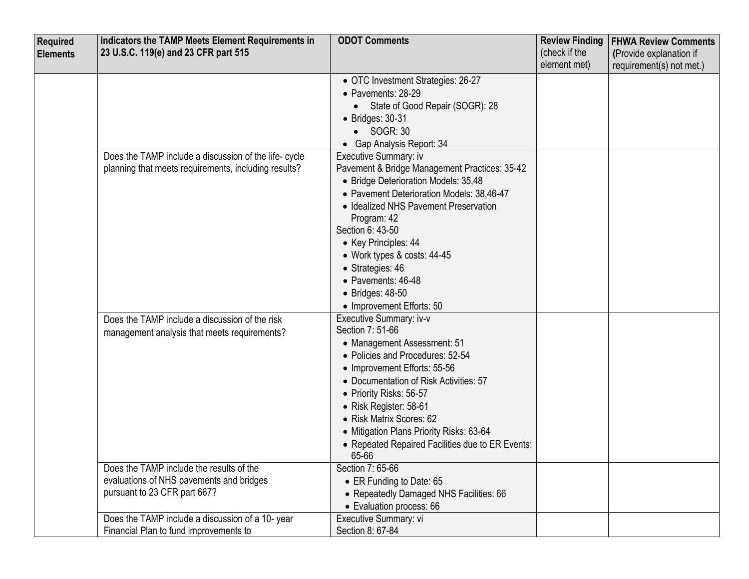| Required        | Indicators the TAMP Meets Element Requirements in     | <b>ODOT Comments</b>                                      | <b>Review Finding</b>         | <b>FHWA Review Comments</b> |
|-----------------|-------------------------------------------------------|-----------------------------------------------------------|-------------------------------|-----------------------------|
| <b>Elements</b> | 23 U.S.C. 119(e) and 23 CFR part 515                  |                                                           | (check if the<br>element met) | (Provide explanation if     |
|                 |                                                       |                                                           |                               | requirement(s) not met.)    |
|                 |                                                       | • OTC Investment Strategies: 26-27<br>• Pavements: 28-29  |                               |                             |
|                 |                                                       | State of Good Repair (SOGR): 28                           |                               |                             |
|                 |                                                       | $\bullet$ Bridges: 30-31                                  |                               |                             |
|                 |                                                       | $\bullet$ SOGR: 30                                        |                               |                             |
|                 |                                                       | • Gap Analysis Report: 34                                 |                               |                             |
|                 | Does the TAMP include a discussion of the life- cycle | Executive Summary: iv                                     |                               |                             |
|                 | planning that meets requirements, including results?  | Pavement & Bridge Management Practices: 35-42             |                               |                             |
|                 |                                                       | • Bridge Deterioration Models: 35,48                      |                               |                             |
|                 |                                                       | • Pavement Deterioration Models: 38,46-47                 |                               |                             |
|                 |                                                       | • Idealized NHS Pavement Preservation                     |                               |                             |
|                 |                                                       | Program: 42                                               |                               |                             |
|                 |                                                       | Section 6: 43-50                                          |                               |                             |
|                 |                                                       | • Key Principles: 44                                      |                               |                             |
|                 |                                                       | • Work types & costs: 44-45                               |                               |                             |
|                 |                                                       | • Strategies: 46<br>• Pavements: 46-48                    |                               |                             |
|                 |                                                       | $\bullet$ Bridges: 48-50                                  |                               |                             |
|                 |                                                       | • Improvement Efforts: 50                                 |                               |                             |
|                 | Does the TAMP include a discussion of the risk        | Executive Summary: iv-v                                   |                               |                             |
|                 | management analysis that meets requirements?          | Section 7: 51-66                                          |                               |                             |
|                 |                                                       | • Management Assessment: 51                               |                               |                             |
|                 |                                                       | • Policies and Procedures: 52-54                          |                               |                             |
|                 |                                                       | • Improvement Efforts: 55-56                              |                               |                             |
|                 |                                                       | • Documentation of Risk Activities: 57                    |                               |                             |
|                 |                                                       | • Priority Risks: 56-57                                   |                               |                             |
|                 |                                                       | • Risk Register: 58-61                                    |                               |                             |
|                 |                                                       | • Risk Matrix Scores: 62                                  |                               |                             |
|                 |                                                       | • Mitigation Plans Priority Risks: 63-64                  |                               |                             |
|                 |                                                       | • Repeated Repaired Facilities due to ER Events:<br>65-66 |                               |                             |
|                 | Does the TAMP include the results of the              | Section 7: 65-66                                          |                               |                             |
|                 | evaluations of NHS pavements and bridges              | • ER Funding to Date: 65                                  |                               |                             |
|                 | pursuant to 23 CFR part 667?                          | • Repeatedly Damaged NHS Facilities: 66                   |                               |                             |
|                 |                                                       | • Evaluation process: 66                                  |                               |                             |
|                 | Does the TAMP include a discussion of a 10-year       | Executive Summary: vi                                     |                               |                             |
|                 | Financial Plan to fund improvements to                | Section 8: 67-84                                          |                               |                             |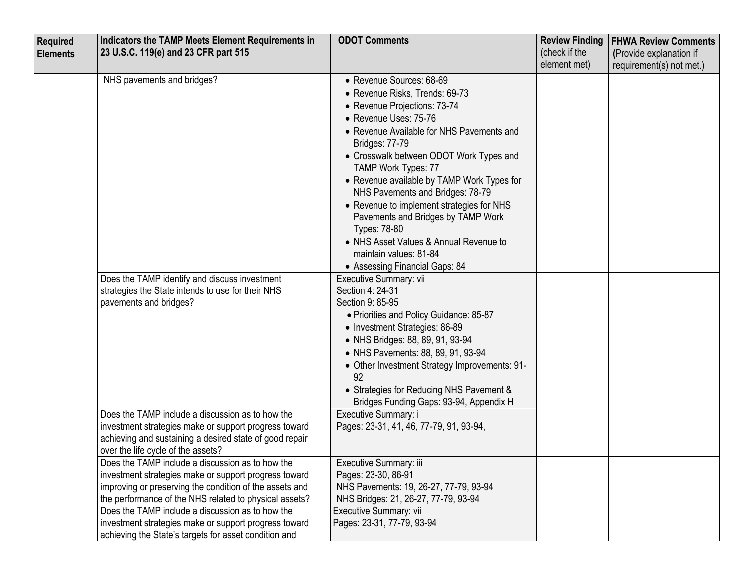| Required        | Indicators the TAMP Meets Element Requirements in       | <b>ODOT Comments</b>                          | <b>Review Finding</b> | <b>FHWA Review Comments</b> |
|-----------------|---------------------------------------------------------|-----------------------------------------------|-----------------------|-----------------------------|
| <b>Elements</b> | 23 U.S.C. 119(e) and 23 CFR part 515                    |                                               | (check if the         | (Provide explanation if     |
|                 |                                                         |                                               | element met)          | requirement(s) not met.)    |
|                 | NHS pavements and bridges?                              | • Revenue Sources: 68-69                      |                       |                             |
|                 |                                                         | • Revenue Risks, Trends: 69-73                |                       |                             |
|                 |                                                         | • Revenue Projections: 73-74                  |                       |                             |
|                 |                                                         | • Revenue Uses: 75-76                         |                       |                             |
|                 |                                                         | • Revenue Available for NHS Pavements and     |                       |                             |
|                 |                                                         | Bridges: 77-79                                |                       |                             |
|                 |                                                         | • Crosswalk between ODOT Work Types and       |                       |                             |
|                 |                                                         | TAMP Work Types: 77                           |                       |                             |
|                 |                                                         | • Revenue available by TAMP Work Types for    |                       |                             |
|                 |                                                         | NHS Pavements and Bridges: 78-79              |                       |                             |
|                 |                                                         | • Revenue to implement strategies for NHS     |                       |                             |
|                 |                                                         | Pavements and Bridges by TAMP Work            |                       |                             |
|                 |                                                         | Types: 78-80                                  |                       |                             |
|                 |                                                         | • NHS Asset Values & Annual Revenue to        |                       |                             |
|                 |                                                         | maintain values: 81-84                        |                       |                             |
|                 |                                                         | • Assessing Financial Gaps: 84                |                       |                             |
|                 | Does the TAMP identify and discuss investment           | Executive Summary: vii                        |                       |                             |
|                 | strategies the State intends to use for their NHS       | Section 4: 24-31                              |                       |                             |
|                 | pavements and bridges?                                  | Section 9: 85-95                              |                       |                             |
|                 |                                                         | • Priorities and Policy Guidance: 85-87       |                       |                             |
|                 |                                                         | • Investment Strategies: 86-89                |                       |                             |
|                 |                                                         | • NHS Bridges: 88, 89, 91, 93-94              |                       |                             |
|                 |                                                         | • NHS Pavements: 88, 89, 91, 93-94            |                       |                             |
|                 |                                                         | • Other Investment Strategy Improvements: 91- |                       |                             |
|                 |                                                         | 92                                            |                       |                             |
|                 |                                                         | • Strategies for Reducing NHS Pavement &      |                       |                             |
|                 |                                                         | Bridges Funding Gaps: 93-94, Appendix H       |                       |                             |
|                 | Does the TAMP include a discussion as to how the        | Executive Summary: i                          |                       |                             |
|                 | investment strategies make or support progress toward   | Pages: 23-31, 41, 46, 77-79, 91, 93-94,       |                       |                             |
|                 | achieving and sustaining a desired state of good repair |                                               |                       |                             |
|                 | over the life cycle of the assets?                      |                                               |                       |                             |
|                 | Does the TAMP include a discussion as to how the        | Executive Summary: iii                        |                       |                             |
|                 | investment strategies make or support progress toward   | Pages: 23-30, 86-91                           |                       |                             |
|                 | improving or preserving the condition of the assets and | NHS Pavements: 19, 26-27, 77-79, 93-94        |                       |                             |
|                 | the performance of the NHS related to physical assets?  | NHS Bridges: 21, 26-27, 77-79, 93-94          |                       |                             |
|                 | Does the TAMP include a discussion as to how the        | Executive Summary: vii                        |                       |                             |
|                 | investment strategies make or support progress toward   | Pages: 23-31, 77-79, 93-94                    |                       |                             |
|                 | achieving the State's targets for asset condition and   |                                               |                       |                             |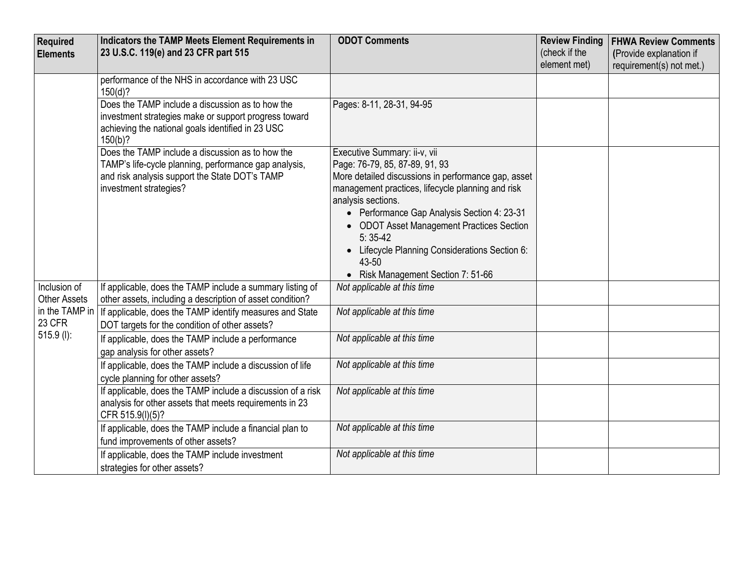| Required                            | Indicators the TAMP Meets Element Requirements in                                                                                                                                     | <b>ODOT Comments</b>                                                                                                                                                                                                                                                                                                                                                                                       | <b>Review Finding</b>         | <b>FHWA Review Comments</b> |
|-------------------------------------|---------------------------------------------------------------------------------------------------------------------------------------------------------------------------------------|------------------------------------------------------------------------------------------------------------------------------------------------------------------------------------------------------------------------------------------------------------------------------------------------------------------------------------------------------------------------------------------------------------|-------------------------------|-----------------------------|
| <b>Elements</b>                     | 23 U.S.C. 119(e) and 23 CFR part 515                                                                                                                                                  |                                                                                                                                                                                                                                                                                                                                                                                                            | (check if the<br>element met) | (Provide explanation if     |
|                                     | performance of the NHS in accordance with 23 USC<br>150(d)?                                                                                                                           |                                                                                                                                                                                                                                                                                                                                                                                                            |                               | requirement(s) not met.)    |
|                                     | Does the TAMP include a discussion as to how the<br>investment strategies make or support progress toward<br>achieving the national goals identified in 23 USC<br>$150(b)$ ?          | Pages: 8-11, 28-31, 94-95                                                                                                                                                                                                                                                                                                                                                                                  |                               |                             |
|                                     | Does the TAMP include a discussion as to how the<br>TAMP's life-cycle planning, performance gap analysis,<br>and risk analysis support the State DOT's TAMP<br>investment strategies? | Executive Summary: ii-v, vii<br>Page: 76-79, 85, 87-89, 91, 93<br>More detailed discussions in performance gap, asset<br>management practices, lifecycle planning and risk<br>analysis sections.<br>• Performance Gap Analysis Section 4: 23-31<br>• ODOT Asset Management Practices Section<br>$5:35-42$<br>• Lifecycle Planning Considerations Section 6:<br>43-50<br>• Risk Management Section 7: 51-66 |                               |                             |
| Inclusion of<br><b>Other Assets</b> | If applicable, does the TAMP include a summary listing of<br>other assets, including a description of asset condition?                                                                | Not applicable at this time                                                                                                                                                                                                                                                                                                                                                                                |                               |                             |
| in the TAMP in<br>23 CFR            | If applicable, does the TAMP identify measures and State<br>DOT targets for the condition of other assets?                                                                            | Not applicable at this time                                                                                                                                                                                                                                                                                                                                                                                |                               |                             |
| $515.9$ (l):                        | If applicable, does the TAMP include a performance<br>gap analysis for other assets?                                                                                                  | Not applicable at this time                                                                                                                                                                                                                                                                                                                                                                                |                               |                             |
|                                     | If applicable, does the TAMP include a discussion of life<br>cycle planning for other assets?                                                                                         | Not applicable at this time                                                                                                                                                                                                                                                                                                                                                                                |                               |                             |
|                                     | If applicable, does the TAMP include a discussion of a risk<br>analysis for other assets that meets requirements in 23<br>CFR 515.9(I)(5)?                                            | Not applicable at this time                                                                                                                                                                                                                                                                                                                                                                                |                               |                             |
|                                     | If applicable, does the TAMP include a financial plan to<br>fund improvements of other assets?                                                                                        | Not applicable at this time                                                                                                                                                                                                                                                                                                                                                                                |                               |                             |
|                                     | If applicable, does the TAMP include investment<br>strategies for other assets?                                                                                                       | Not applicable at this time                                                                                                                                                                                                                                                                                                                                                                                |                               |                             |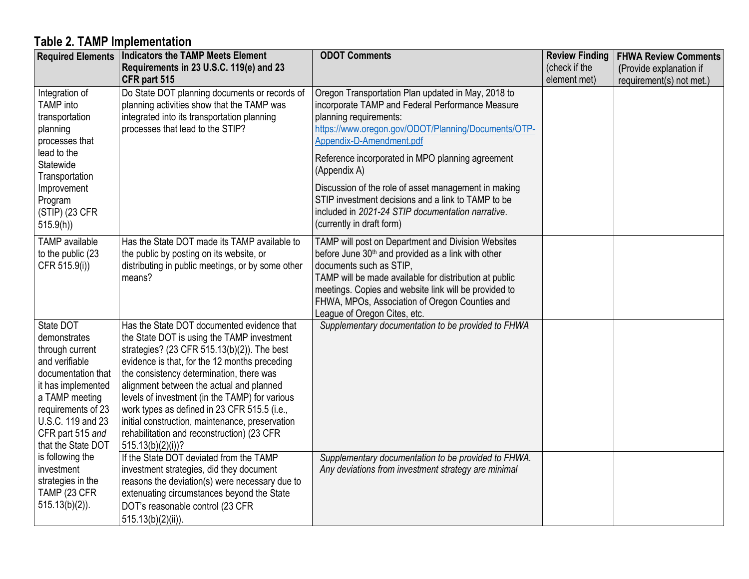## **Table 2. TAMP Implementation**

| <b>Required Elements</b>                                                                                                                                                                                          | Indicators the TAMP Meets Element                                                                                                                                                                                                                                                                                                                                                                                                                                                                          | <b>ODOT Comments</b>                                                                                                                                                                                                                                                                                                                                                                                                                                                                    | <b>Review Finding</b> | <b>FHWA Review Comments</b> |
|-------------------------------------------------------------------------------------------------------------------------------------------------------------------------------------------------------------------|------------------------------------------------------------------------------------------------------------------------------------------------------------------------------------------------------------------------------------------------------------------------------------------------------------------------------------------------------------------------------------------------------------------------------------------------------------------------------------------------------------|-----------------------------------------------------------------------------------------------------------------------------------------------------------------------------------------------------------------------------------------------------------------------------------------------------------------------------------------------------------------------------------------------------------------------------------------------------------------------------------------|-----------------------|-----------------------------|
|                                                                                                                                                                                                                   | Requirements in 23 U.S.C. 119(e) and 23                                                                                                                                                                                                                                                                                                                                                                                                                                                                    |                                                                                                                                                                                                                                                                                                                                                                                                                                                                                         | (check if the         | (Provide explanation if     |
|                                                                                                                                                                                                                   | CFR part 515                                                                                                                                                                                                                                                                                                                                                                                                                                                                                               |                                                                                                                                                                                                                                                                                                                                                                                                                                                                                         | element met)          | requirement(s) not met.)    |
| Integration of<br><b>TAMP</b> into<br>transportation<br>planning<br>processes that<br>lead to the<br>Statewide<br>Transportation<br>Improvement<br>Program<br>(STIP) (23 CFR<br>515.9(h)                          | Do State DOT planning documents or records of<br>planning activities show that the TAMP was<br>integrated into its transportation planning<br>processes that lead to the STIP?                                                                                                                                                                                                                                                                                                                             | Oregon Transportation Plan updated in May, 2018 to<br>incorporate TAMP and Federal Performance Measure<br>planning requirements:<br>https://www.oregon.gov/ODOT/Planning/Documents/OTP-<br>Appendix-D-Amendment.pdf<br>Reference incorporated in MPO planning agreement<br>(Appendix A)<br>Discussion of the role of asset management in making<br>STIP investment decisions and a link to TAMP to be<br>included in 2021-24 STIP documentation narrative.<br>(currently in draft form) |                       |                             |
| <b>TAMP</b> available<br>to the public (23<br>CFR 515.9(i))                                                                                                                                                       | Has the State DOT made its TAMP available to<br>the public by posting on its website, or<br>distributing in public meetings, or by some other<br>means?                                                                                                                                                                                                                                                                                                                                                    | TAMP will post on Department and Division Websites<br>before June 30 <sup>th</sup> and provided as a link with other<br>documents such as STIP,<br>TAMP will be made available for distribution at public<br>meetings. Copies and website link will be provided to<br>FHWA, MPOs, Association of Oregon Counties and<br>League of Oregon Cites, etc.                                                                                                                                    |                       |                             |
| State DOT<br>demonstrates<br>through current<br>and verifiable<br>documentation that<br>it has implemented<br>a TAMP meeting<br>requirements of 23<br>U.S.C. 119 and 23<br>CFR part 515 and<br>that the State DOT | Has the State DOT documented evidence that<br>the State DOT is using the TAMP investment<br>strategies? (23 CFR 515.13(b)(2)). The best<br>evidence is that, for the 12 months preceding<br>the consistency determination, there was<br>alignment between the actual and planned<br>levels of investment (in the TAMP) for various<br>work types as defined in 23 CFR 515.5 (i.e.,<br>initial construction, maintenance, preservation<br>rehabilitation and reconstruction) (23 CFR<br>$515.13(b)(2)(i)$ ? | Supplementary documentation to be provided to FHWA                                                                                                                                                                                                                                                                                                                                                                                                                                      |                       |                             |
| is following the<br>investment<br>strategies in the<br>TAMP (23 CFR<br>$515.13(b)(2)$ ).                                                                                                                          | If the State DOT deviated from the TAMP<br>investment strategies, did they document<br>reasons the deviation(s) were necessary due to<br>extenuating circumstances beyond the State<br>DOT's reasonable control (23 CFR<br>$515.13(b)(2)(ii)$ ).                                                                                                                                                                                                                                                           | Supplementary documentation to be provided to FHWA.<br>Any deviations from investment strategy are minimal                                                                                                                                                                                                                                                                                                                                                                              |                       |                             |